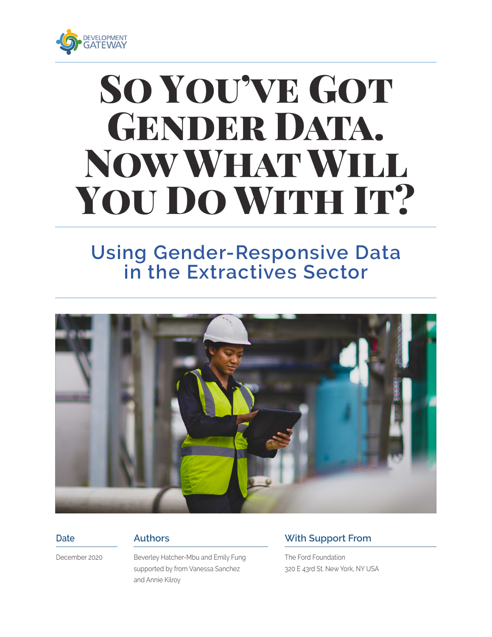

# SO YOU'VE GOT GENDER DATA. Now What Will YOU DO WITH IT?

## **Using Gender-Responsive Data in the Extractives Sector**



#### **Date**

#### **Authors**

December 2020

Beverley Hatcher-Mbu and Emily Fung supported by from Vanessa Sanchez and Annie Kilroy

#### **With Support From**

The Ford Foundation 320 E 43rd St. New York, NY USA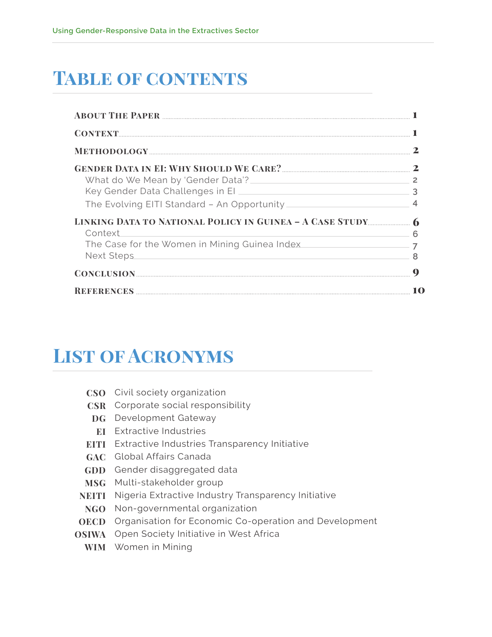# **Table of contents**

| What do We Mean by 'Gender Data'?<br><u> 1980 - Andrea Station, amerikansk politik (* 1950)</u>                                                                                                                                                    |                |
|----------------------------------------------------------------------------------------------------------------------------------------------------------------------------------------------------------------------------------------------------|----------------|
|                                                                                                                                                                                                                                                    | ़              |
|                                                                                                                                                                                                                                                    |                |
|                                                                                                                                                                                                                                                    |                |
| Context                                                                                                                                                                                                                                            | ൳              |
| The Case for the Women in Mining Guinea Index                                                                                                                                                                                                      | $\overline{7}$ |
| <b>Next Steps</b><br>the control of the control of the control of the control of the control of the control of the control of the control of the control of the control of the control of the control of the control of the control of the control |                |
|                                                                                                                                                                                                                                                    | $\mathbf 0$    |
|                                                                                                                                                                                                                                                    |                |

## **List of Acronyms**

| CSO |  | Civil society organization |
|-----|--|----------------------------|
|-----|--|----------------------------|

- **CSR** Corporate social responsibility
- **DG** Development Gateway
- **EI** Extractive Industries
- **EITI** Extractive Industries Transparency Initiative
- **GAC** Global Affairs Canada
- **GDD** Gender disaggregated data
- **MSG** Multi-stakeholder group
- **NEITI** Nigeria Extractive Industry Transparency Initiative
- **NGO** Non-governmental organization
- **OECD** Organisation for Economic Co-operation and Development
- **OSIWA** Open Society Initiative in West Africa
	- **WIM** Women in Mining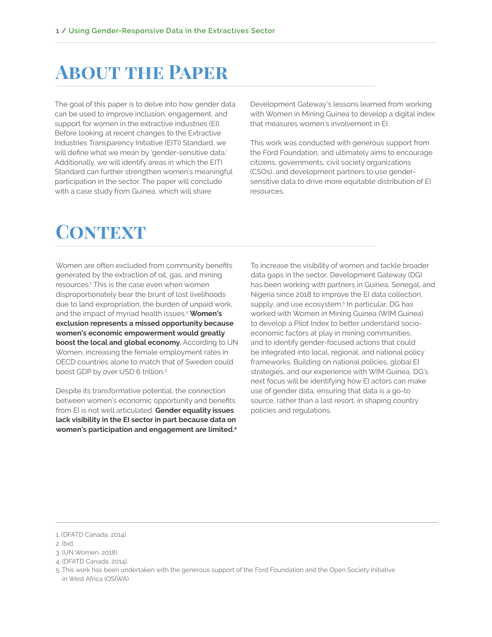### **ABOUT THE PAPER**

The goal of this paper is to delve into how gender data can be used to improve inclusion, engagement, and support for women in the extractive industries (EI). Before looking at recent changes to the Extractive Industries Transparency Initiative (EITI) Standard, we will define what we mean by 'gender-sensitive data.' Additionally, we will identify areas in which the EITI Standard can further strengthen women's meaningful participation in the sector. The paper will conclude with a case study from Guinea, which will share

Development Gateway's lessons learned from working with Women in Mining Guinea to develop a digital index that measures women's involvement in EI.

This work was conducted with generous support from the Ford Foundation, and ultimately aims to encourage citizens, governments, civil society organizations (CSOs), and development partners to use gendersensitive data to drive more equitable distribution of EI resources.

### **CONTEXT**

Women are often excluded from community benefits generated by the extraction of oil, gas, and mining resources.1 This is the case even when women disproportionately bear the brunt of lost livelihoods due to land expropriation, the burden of unpaid work, and the impact of myriad health issues.2 **Women's exclusion represents a missed opportunity because women's economic empowerment would greatly boost the local and global economy.** According to UN Women, increasing the female employment rates in OECD countries alone to match that of Sweden could boost GDP by over USD 6 trillion.3

Despite its transformative potential, the connection between women's economic opportunity and benefits from EI is not well articulated. **Gender equality issues lack visibility in the EI sector in part because data on women's participation and engagement are limited.4** To increase the visibility of women and tackle broader data gaps in the sector, Development Gateway (DG) has been working with partners in Guinea, Senegal, and Nigeria since 2018 to improve the EI data collection, supply, and use ecosystem.<sup>5</sup> In particular, DG has worked with Women in Mining Guinea (WIM Guinea) to develop a Pilot Index to better understand socioeconomic factors at play in mining communities, and to identify gender-focused actions that could be integrated into local, regional, and national policy frameworks. Building on national policies, global EI strategies, and our experience with WIM Guinea, DG's next focus will be identifying how EI actors can make use of gender data, ensuring that data is a go-to source, rather than a last resort, in shaping country policies and regulations.

<sup>1. (</sup>DFATD Canada, 2014).

<sup>2.</sup> Ibid.

<sup>3. (</sup>UN Women, 2018).

<sup>4. (</sup>DFATD Canada, 2014).

<sup>5.</sup> This work has been undertaken with the generous support of the Ford Foundation and the Open Society Initiative in West Africa (OSIWA).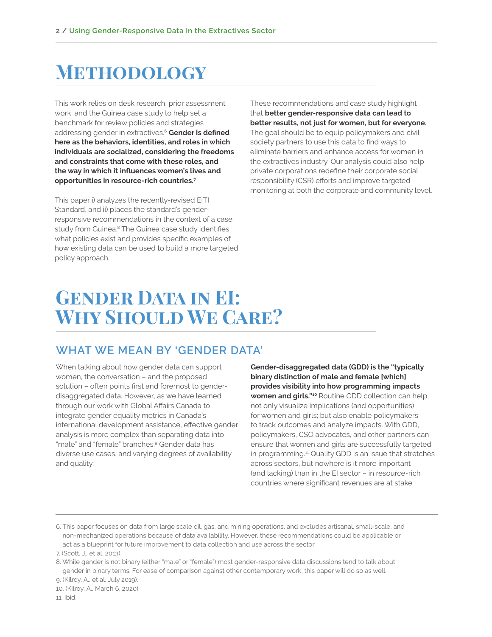### **Methodology**

This work relies on desk research, prior assessment work, and the Guinea case study to help set a benchmark for review policies and strategies addressing gender in extractives.6 **Gender is defined here as the behaviors, identities, and roles in which individuals are socialized, considering the freedoms and constraints that come with these roles, and the way in which it influences women's lives and opportunities in resource-rich countries.7**

This paper i) analyzes the recently-revised EITI Standard, and ii) places the standard's genderresponsive recommendations in the context of a case study from Guinea.<sup>8</sup> The Guinea case study identifies what policies exist and provides specific examples of how existing data can be used to build a more targeted policy approach.

These recommendations and case study highlight that **better gender-responsive data can lead to better results, not just for women, but for everyone.**  The goal should be to equip policymakers and civil society partners to use this data to find ways to eliminate barriers and enhance access for women in the extractives industry. Our analysis could also help private corporations redefine their corporate social responsibility (CSR) efforts and improve targeted monitoring at both the corporate and community level.

### **Gender Data in EI: Why Should We Care?**

#### **WHAT WE MEAN BY 'GENDER DATA'**

When talking about how gender data can support women, the conversation – and the proposed solution – often points first and foremost to genderdisaggregated data. However, as we have learned through our work with Global Affairs Canada to integrate gender equality metrics in Canada's international development assistance, effective gender analysis is more complex than separating data into "male" and "female" branches.9 Gender data has diverse use cases, and varying degrees of availability and quality.

**Gender-disaggregated data (GDD) is the "typically binary distinction of male and female [which] provides visibility into how programming impacts women and girls."10** Routine GDD collection can help not only visualize implications (and opportunities) for women and girls; but also enable policymakers to track outcomes and analyze impacts. With GDD, policymakers, CSO advocates, and other partners can ensure that women and girls are successfully targeted in programming.11 Quality GDD is an issue that stretches across sectors, but nowhere is it more important (and lacking) than in the EI sector – in resource-rich countries where significant revenues are at stake.

11. Ibid.

<sup>6.</sup> This paper focuses on data from large scale oil, gas, and mining operations, and excludes artisanal, small-scale, and non-mechanized operations because of data availability. However, these recommendations could be applicable or act as a blueprint for future improvement to data collection and use across the sector.

<sup>7. (</sup>Scott, J., et al, 2013).

<sup>8.</sup> While gender is not binary (either "male" or "female") most gender-responsive data discussions tend to talk about gender in binary terms. For ease of comparison against other contemporary work, this paper will do so as well.

<sup>9. (</sup>Kilroy, A., et al, July 2019).

<sup>10. (</sup>Kilroy, A., March 6, 2020).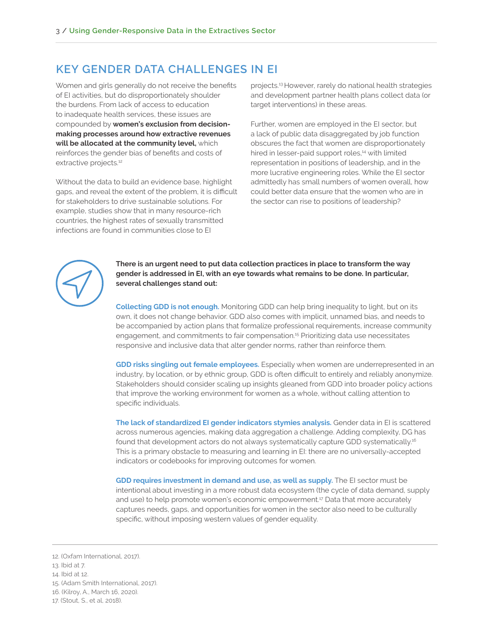#### **KEY GENDER DATA CHALLENGES IN EI**

Women and girls generally do not receive the benefits of EI activities, but do disproportionately shoulder the burdens. From lack of access to education to inadequate health services, these issues are compounded by **women's exclusion from decisionmaking processes around how extractive revenues will be allocated at the community level,** which reinforces the gender bias of benefits and costs of extractive projects.<sup>12</sup>

Without the data to build an evidence base, highlight gaps, and reveal the extent of the problem, it is difficult for stakeholders to drive sustainable solutions. For example, studies show that in many resource-rich countries, the highest rates of sexually transmitted infections are found in communities close to EI

projects.13 However, rarely do national health strategies and development partner health plans collect data (or target interventions) in these areas.

Further, women are employed in the EI sector, but a lack of public data disaggregated by job function obscures the fact that women are disproportionately hired in lesser-paid support roles,<sup>14</sup> with limited representation in positions of leadership, and in the more lucrative engineering roles. While the EI sector admittedly has small numbers of women overall, how could better data ensure that the women who are in the sector can rise to positions of leadership?



**There is an urgent need to put data collection practices in place to transform the way gender is addressed in EI, with an eye towards what remains to be done. In particular, several challenges stand out:**

**Collecting GDD is not enough.** Monitoring GDD can help bring inequality to light, but on its own, it does not change behavior. GDD also comes with implicit, unnamed bias, and needs to be accompanied by action plans that formalize professional requirements, increase community engagement, and commitments to fair compensation.15 Prioritizing data use necessitates responsive and inclusive data that alter gender norms, rather than reinforce them.

**GDD risks singling out female employees.** Especially when women are underrepresented in an industry, by location, or by ethnic group, GDD is often difficult to entirely and reliably anonymize. Stakeholders should consider scaling up insights gleaned from GDD into broader policy actions that improve the working environment for women as a whole, without calling attention to specific individuals.

**The lack of standardized EI gender indicators stymies analysis.** Gender data in EI is scattered across numerous agencies, making data aggregation a challenge. Adding complexity, DG has found that development actors do not always systematically capture GDD systematically.16 This is a primary obstacle to measuring and learning in EI: there are no universally-accepted indicators or codebooks for improving outcomes for women.

**GDD requires investment in demand and use, as well as supply.** The EI sector must be intentional about investing in a more robust data ecosystem (the cycle of data demand, supply and use) to help promote women's economic empowerment.<sup>17</sup> Data that more accurately captures needs, gaps, and opportunities for women in the sector also need to be culturally specific, without imposing western values of gender equality.

<sup>12. (</sup>Oxfam International, 2017).

<sup>13.</sup> Ibid at 7.

<sup>14.</sup> Ibid at 12.

<sup>15. (</sup>Adam Smith International, 2017).

<sup>16. (</sup>Kilroy, A., March 16, 2020).

<sup>17. (</sup>Stout, S., et al, 2018).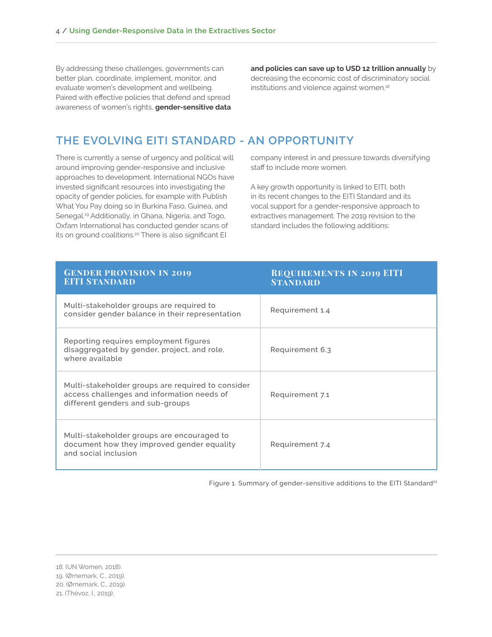By addressing these challenges, governments can better plan, coordinate, implement, monitor, and evaluate women's development and wellbeing. Paired with effective policies that defend and spread awareness of women's rights, **gender-sensitive data** 

**and policies can save up to USD 12 trillion annually** by decreasing the economic cost of discriminatory social institutions and violence against women.<sup>18</sup>

#### **THE EVOLVING EITI STANDARD - AN OPPORTUNITY**

There is currently a sense of urgency and political will around improving gender-responsive and inclusive approaches to development. International NGOs have invested significant resources into investigating the opacity of gender policies, for example with Publish What You Pay doing so in Burkina Faso, Guinea, and Senegal.19 Additionally, in Ghana, Nigeria, and Togo, Oxfam International has conducted gender scans of its on ground coalitions.<sup>20</sup> There is also significant EI

company interest in and pressure towards diversifying staff to include more women.

A key growth opportunity is linked to EITI, both in its recent changes to the EITI Standard and its vocal support for a gender-responsive approach to extractives management. The 2019 revision to the standard includes the following additions:

| <b>GENDER PROVISION IN 2019</b><br><b>EITI STANDARD</b>                                                                             | <b>REQUIREMENTS IN 2019 EITI</b><br><b>STANDARD</b> |
|-------------------------------------------------------------------------------------------------------------------------------------|-----------------------------------------------------|
| Multi-stakeholder groups are required to<br>consider gender balance in their representation                                         | Requirement 1.4                                     |
| Reporting requires employment figures<br>disaggregated by gender, project, and role,<br>where available                             | Requirement 6.3                                     |
| Multi-stakeholder groups are required to consider<br>access challenges and information needs of<br>different genders and sub-groups | Requirement 7.1                                     |
| Multi-stakeholder groups are encouraged to<br>document how they improved gender equality<br>and social inclusion                    | Requirement 7.4                                     |

Figure 1. Summary of gender-sensitive additions to the EITI Standard<sup>21</sup>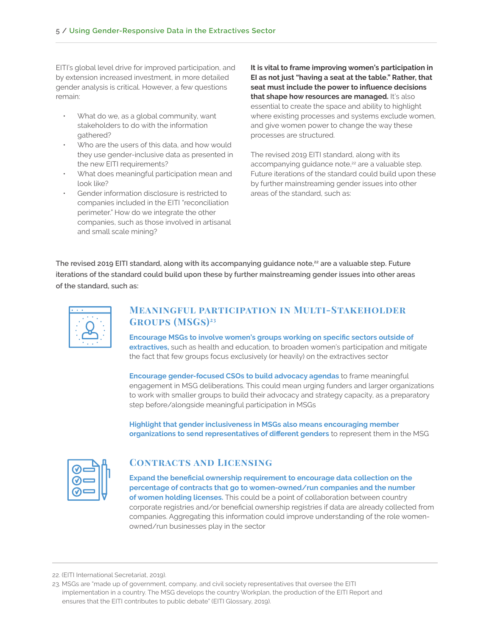EITI's global level drive for improved participation, and by extension increased investment, in more detailed gender analysis is critical. However, a few questions remain:

- What do we, as a global community, want stakeholders to do with the information gathered?
- Who are the users of this data, and how would they use gender-inclusive data as presented in the new EITI requirements?
- What does meaningful participation mean and look like?
- Gender information disclosure is restricted to companies included in the EITI "reconciliation perimeter." How do we integrate the other companies, such as those involved in artisanal and small scale mining?

**It is vital to frame improving women's participation in EI as not just "having a seat at the table." Rather, that seat must include the power to influence decisions**  that shape how resources are managed. It's also essential to create the space and ability to highlight where existing processes and systems exclude women, and give women power to change the way these processes are structured.

The revised 2019 EITI standard, along with its accompanying guidance note,<sup>22</sup> are a valuable step. Future iterations of the standard could build upon these by further mainstreaming gender issues into other areas of the standard, such as:

The revised 2019 EITI standard, along with its accompanying guidance note,<sup>22</sup> are a valuable step. Future **iterations of the standard could build upon these by further mainstreaming gender issues into other areas of the standard, such as:**



#### **Meaningful participation in Multi-Stakeholder Groups (MSGs)23**

**Encourage MSGs to involve women's groups working on specific sectors outside of extractives,** such as health and education, to broaden women's participation and mitigate the fact that few groups focus exclusively (or heavily) on the extractives sector

**Encourage gender-focused CSOs to build advocacy agendas** to frame meaningful engagement in MSG deliberations. This could mean urging funders and larger organizations to work with smaller groups to build their advocacy and strategy capacity, as a preparatory step before/alongside meaningful participation in MSGs

**Highlight that gender inclusiveness in MSGs also means encouraging member organizations to send representatives of different genders** to represent them in the MSG

| V<br>V |  |
|--------|--|
| V      |  |
|        |  |

#### **Contracts and Licensing**

**Expand the beneficial ownership requirement to encourage data collection on the percentage of contracts that go to women-owned/run companies and the number of women holding licenses.** This could be a point of collaboration between country corporate registries and/or beneficial ownership registries if data are already collected from companies. Aggregating this information could improve understanding of the role womenowned/run businesses play in the sector

<sup>22. (</sup>EITI International Secretariat, 2019).

<sup>23.</sup> MSGs are "made up of government, company, and civil society representatives that oversee the EITI implementation in a country. The MSG develops the country Workplan, the production of the EITI Report and ensures that the EITI contributes to public debate" (EITI Glossary, 2019).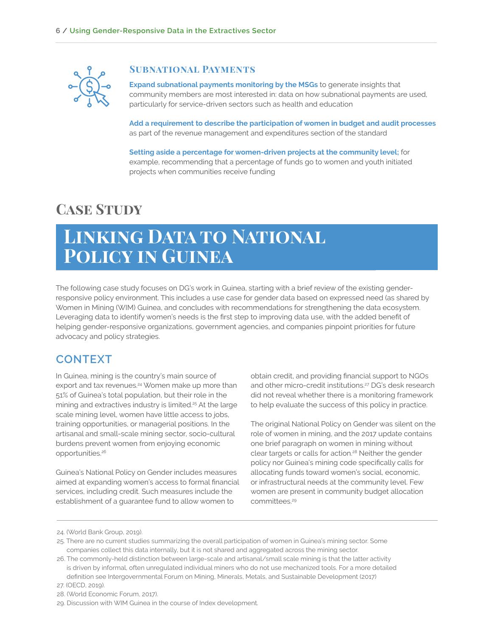

#### **Subnational Payments**

**Expand subnational payments monitoring by the MSGs** to generate insights that community members are most interested in: data on how subnational payments are used, particularly for service-driven sectors such as health and education

**Add a requirement to describe the participation of women in budget and audit processes**  as part of the revenue management and expenditures section of the standard

**Setting aside a percentage for women-driven projects at the community level;** for example, recommending that a percentage of funds go to women and youth initiated projects when communities receive funding

### **Case Study**

### **Linking Data to National Policy in Guinea**

The following case study focuses on DG's work in Guinea, starting with a brief review of the existing genderresponsive policy environment. This includes a use case for gender data based on expressed need (as shared by Women in Mining (WIM) Guinea, and concludes with recommendations for strengthening the data ecosystem. Leveraging data to identify women's needs is the first step to improving data use, with the added benefit of helping gender-responsive organizations, government agencies, and companies pinpoint priorities for future advocacy and policy strategies.

#### **CONTEXT**

In Guinea, mining is the country's main source of export and tax revenues.<sup>24</sup> Women make up more than 51% of Guinea's total population, but their role in the mining and extractives industry is limited.<sup>25</sup> At the large scale mining level, women have little access to jobs, training opportunities, or managerial positions. In the artisanal and small-scale mining sector, socio-cultural burdens prevent women from enjoying economic opportunities.26

Guinea's National Policy on Gender includes measures aimed at expanding women's access to formal financial services, including credit. Such measures include the establishment of a guarantee fund to allow women to

obtain credit, and providing financial support to NGOs and other micro-credit institutions.<sup>27</sup> DG's desk research did not reveal whether there is a monitoring framework to help evaluate the success of this policy in practice.

The original National Policy on Gender was silent on the role of women in mining, and the 2017 update contains one brief paragraph on women in mining without clear targets or calls for action.28 Neither the gender policy nor Guinea's mining code specifically calls for allocating funds toward women's social, economic, or infrastructural needs at the community level. Few women are present in community budget allocation committees.29

<sup>24. (</sup>World Bank Group, 2019).

<sup>25.</sup> There are no current studies summarizing the overall participation of women in Guinea's mining sector. Some companies collect this data internally, but it is not shared and aggregated across the mining sector.

<sup>26.</sup> The commonly-held distinction between large-scale and artisanal/small scale mining is that the latter activity is driven by informal, often unregulated individual miners who do not use mechanized tools. For a more detailed definition see Intergovernmental Forum on Mining, Minerals, Metals, and Sustainable Development (2017) 27. (OECD, 2019).

<sup>28. (</sup>World Economic Forum, 2017).

<sup>29.</sup> Discussion with WIM Guinea in the course of Index development.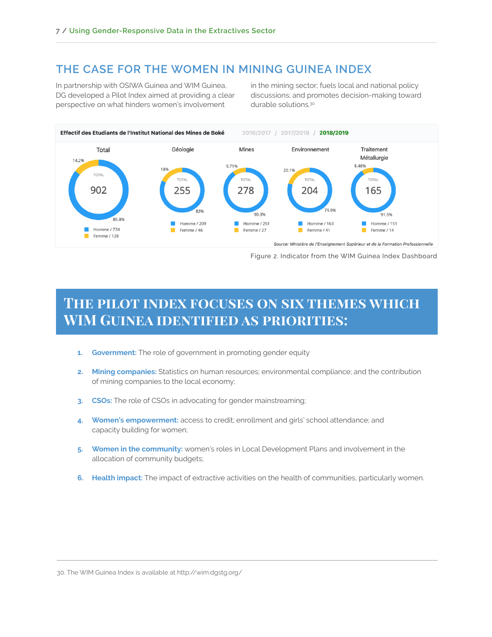#### **THE CASE FOR THE WOMEN IN MINING GUINEA INDEX**

In partnership with OSIWA Guinea and WIM Guinea, DG developed a Pilot Index aimed at providing a clear perspective on what hinders women's involvement

in the mining sector; fuels local and national policy discussions; and promotes decision-making toward durable solutions.30



Figure 2. Indicator from the WIM Guinea Index Dashboard

### **The pilot index focuses on six themes which WIM Guinea identified as priorities:**

- **1. Government:** The role of government in promoting gender equity
- **2. Mining companies:** Statistics on human resources; environmental compliance; and the contribution of mining companies to the local economy;
- **3. CSOs:** The role of CSOs in advocating for gender mainstreaming;
- **4. Women's empowerment:** access to credit; enrollment and girls' school attendance; and capacity building for women;
- **5. Women in the community:** women's roles in Local Development Plans and involvement in the allocation of community budgets;
- **6. Health impact:** The impact of extractive activities on the health of communities, particularly women.

30. The WIM Guinea Index is available at http://wim.dgstg.org/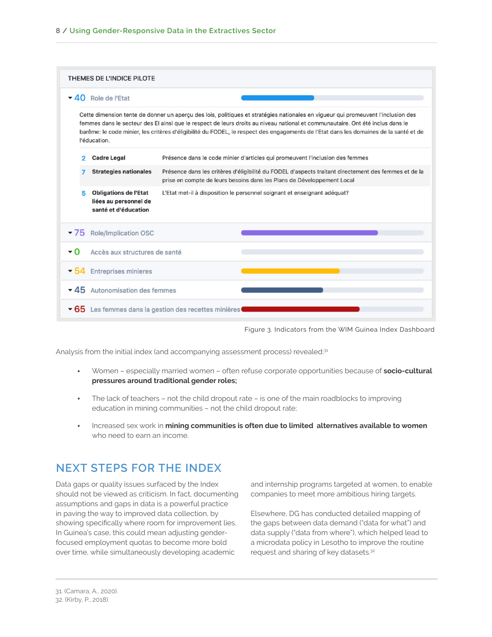|                                                                                                                                                                                                                                                                                                                                                                                                                              | THEMES DE L'INDICE PILOTE |                                                                               |                                                                                                                                                                                |  |  |  |
|------------------------------------------------------------------------------------------------------------------------------------------------------------------------------------------------------------------------------------------------------------------------------------------------------------------------------------------------------------------------------------------------------------------------------|---------------------------|-------------------------------------------------------------------------------|--------------------------------------------------------------------------------------------------------------------------------------------------------------------------------|--|--|--|
|                                                                                                                                                                                                                                                                                                                                                                                                                              | $-40$ Role de l'Etat      |                                                                               |                                                                                                                                                                                |  |  |  |
| Cette dimension tente de donner un aperçu des lois, politiques et stratégies nationales en vigueur qui promeuvent l'inclusion des<br>femmes dans le secteur des El ainsi que le respect de leurs droits au niveau national et communautaire. Ont été inclus dans le<br>barême: le code minier, les critères d'éligibilité du FODEL, le respect des engagements de l'Etat dans les domaines de la santé et de<br>l'éducation. |                           |                                                                               |                                                                                                                                                                                |  |  |  |
|                                                                                                                                                                                                                                                                                                                                                                                                                              | 2                         | <b>Cadre Legal</b>                                                            | Présence dans le code minier d'articles qui promeuvent l'inclusion des femmes                                                                                                  |  |  |  |
|                                                                                                                                                                                                                                                                                                                                                                                                                              |                           | <b>Strategies nationales</b>                                                  | Présence dans les critères d'éligibilité du FODEL d'aspects traitant directement des femmes et de la<br>prise en compte de leurs besoins dans les Plans de Développement Local |  |  |  |
|                                                                                                                                                                                                                                                                                                                                                                                                                              | Б                         | <b>Obligations de l'Etat</b><br>liées au personnel de<br>santé et d'éducation | L'Etat met-il à disposition le personnel soignant et enseignant adéquat?                                                                                                       |  |  |  |
| $-75$                                                                                                                                                                                                                                                                                                                                                                                                                        |                           | <b>Role/Implication OSC</b>                                                   |                                                                                                                                                                                |  |  |  |
| - 0                                                                                                                                                                                                                                                                                                                                                                                                                          |                           | Accès aux structures de santé                                                 |                                                                                                                                                                                |  |  |  |
| - 54                                                                                                                                                                                                                                                                                                                                                                                                                         |                           | <b>Entreprises minieres</b>                                                   |                                                                                                                                                                                |  |  |  |
|                                                                                                                                                                                                                                                                                                                                                                                                                              | $-45$                     | Autonomisation des femmes                                                     |                                                                                                                                                                                |  |  |  |
|                                                                                                                                                                                                                                                                                                                                                                                                                              |                           |                                                                               | ▼ 65 Les femmes dans la gestion des recettes minières                                                                                                                          |  |  |  |

Figure 3. Indicators from the WIM Guinea Index Dashboard

Analysis from the initial index (and accompanying assessment process) revealed:31

- Women especially married women often refuse corporate opportunities because of **socio-cultural pressures around traditional gender roles;**
- The lack of teachers not the child dropout rate is one of the main roadblocks to improving education in mining communities – not the child dropout rate;
- Increased sex work in **mining communities is often due to limited alternatives available to women** who need to earn an income.

#### **NEXT STEPS FOR THE INDEX**

Data gaps or quality issues surfaced by the Index should not be viewed as criticism. In fact, documenting assumptions and gaps in data is a powerful practice in paving the way to improved data collection, by showing specifically where room for improvement lies. In Guinea's case, this could mean adjusting genderfocused employment quotas to become more bold over time, while simultaneously developing academic

and internship programs targeted at women, to enable companies to meet more ambitious hiring targets.

Elsewhere, DG has conducted detailed mapping of the gaps between data demand ("data for what") and data supply ("data from where"), which helped lead to a microdata policy in Lesotho to improve the routine request and sharing of key datasets.32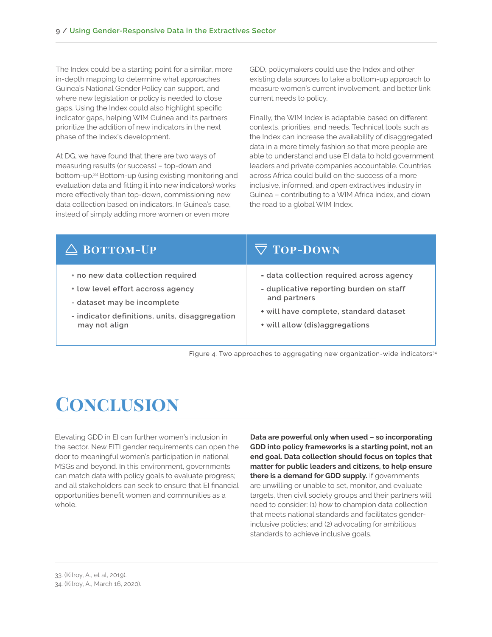The Index could be a starting point for a similar, more in-depth mapping to determine what approaches Guinea's National Gender Policy can support, and where new legislation or policy is needed to close gaps. Using the Index could also highlight specific indicator gaps, helping WIM Guinea and its partners prioritize the addition of new indicators in the next phase of the Index's development.

At DG, we have found that there are two ways of measuring results (or success) – top-down and bottom-up.33 Bottom-up (using existing monitoring and evaluation data and fitting it into new indicators) works more effectively than top-down, commissioning new data collection based on indicators. In Guinea's case, instead of simply adding more women or even more

GDD, policymakers could use the Index and other existing data sources to take a bottom-up approach to measure women's current involvement, and better link current needs to policy.

Finally, the WIM Index is adaptable based on different contexts, priorities, and needs. Technical tools such as the Index can increase the availability of disaggregated data in a more timely fashion so that more people are able to understand and use EI data to hold government leaders and private companies accountable. Countries across Africa could build on the success of a more inclusive, informed, and open extractives industry in Guinea – contributing to a WIM Africa index, and down the road to a global WIM Index.

| $\triangle$ BOTTOM-UP                          | $\nabla$ TOP-DOWN                        |
|------------------------------------------------|------------------------------------------|
| + no new data collection required              | - data collection required across agency |
| + low level effort accross agency              | - duplicative reporting burden on staff  |
| - dataset may be incomplete                    | and partners                             |
| - indicator definitions, units, disaggregation | * will have complete, standard dataset   |
| may not align                                  | * will allow (dis)aggregations           |

Figure 4. Two approaches to aggregating new organization-wide indicators<sup>34</sup>

## **Conclusion**

Elevating GDD in EI can further women's inclusion in the sector. New EITI gender requirements can open the door to meaningful women's participation in national MSGs and beyond. In this environment, governments can match data with policy goals to evaluate progress; and all stakeholders can seek to ensure that EI financial opportunities benefit women and communities as a whole.

**Data are powerful only when used – so incorporating GDD into policy frameworks is a starting point, not an end goal. Data collection should focus on topics that matter for public leaders and citizens, to help ensure there is a demand for GDD supply.** If governments are unwilling or unable to set, monitor, and evaluate targets, then civil society groups and their partners will need to consider: (1) how to champion data collection that meets national standards and facilitates genderinclusive policies; and (2) advocating for ambitious standards to achieve inclusive goals.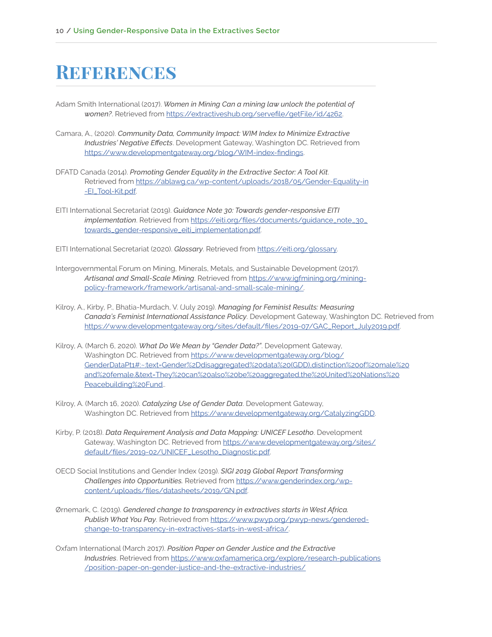### **REFERENCES**

- Adam Smith International (2017). *Women in Mining Can a mining law unlock the potential of women?*. Retrieved from https://extractiveshub.org/servefile/getFile/id/4262.
- Camara, A., (2020). *Community Data, Community Impact: WIM Index to Minimize Extractive Industries' Negative Effects*. Development Gateway, Washington DC. Retrieved from https://www.developmentgateway.org/blog/WIM-index-findings.
- DFATD Canada (2014). *Promoting Gender Equality in the Extractive Sector: A Tool Kit*. Retrieved from https://ablawg.ca/wp-content/uploads/2018/05/Gender-Equality-in -EI\_Tool-Kit.pdf.
- EITI International Secretariat (2019). *Guidance Note 30: Towards gender-responsive EITI*  implementation. Retrieved from https://eiti.org/files/documents/guidance\_note\_30\_ towards\_gender-responsive\_eiti\_implementation.pdf.
- EITI International Secretariat (2020). *Glossary*. Retrieved from https://eiti.org/glossary.
- Intergovernmental Forum on Mining, Minerals, Metals, and Sustainable Development (2017). *Artisanal and Small-Scale Mining*. Retrieved from https://www.igfmining.org/miningpolicy-framework/framework/artisanal-and-small-scale-mining/.
- Kilroy, A., Kirby, P., Bhatia-Murdach, V. (July 2019). *Managing for Feminist Results: Measuring Canada's Feminist International Assistance Policy*. Development Gateway, Washington DC. Retrieved from https://www.developmentgateway.org/sites/default/files/2019-07/GAC\_Report\_July2019.pdf.
- Kilroy, A. (March 6, 2020). *What Do We Mean by "Gender Data?"*. Development Gateway, Washington DC. Retrieved from https://www.developmentgateway.org/blog/ GenderDataPt1#:~:text=Gender%2Ddisaggregated%20data%20(GDD),distinction%20of%20male%20 and%20female.&text=They%20can%20also%20be%20aggregated,the%20United%20Nations%20 Peacebuilding%20Fund..
- Kilroy, A. (March 16, 2020). *Catalyzing Use of Gender Data*. Development Gateway, Washington DC. Retrieved from https://www.developmentgateway.org/CatalyzingGDD.
- Kirby, P. (2018). *Data Requirement Analysis and Data Mapping: UNICEF Lesotho*. Development Gateway, Washington DC. Retrieved from https://www.developmentgateway.org/sites/ default/files/2019-02/UNICEF\_Lesotho\_Diagnostic.pdf.
- OECD Social Institutions and Gender Index (2019). *SIGI 2019 Global Report Transforming Challenges into Opportunities.* Retrieved from https://www.genderindex.org/wpcontent/uploads/files/datasheets/2019/GN.pdf.
- Ørnemark, C. (2019). *Gendered change to transparency in extractives starts in West Africa. Publish What You Pay*. Retrieved from https://www.pwyp.org/pwyp-news/genderedchange-to-transparency-in-extractives-starts-in-west-africa/.
- Oxfam International (March 2017). *Position Paper on Gender Justice and the Extractive Industries*. Retrieved from https://www.oxfamamerica.org/explore/research-publications /position-paper-on-gender-justice-and-the-extractive-industries/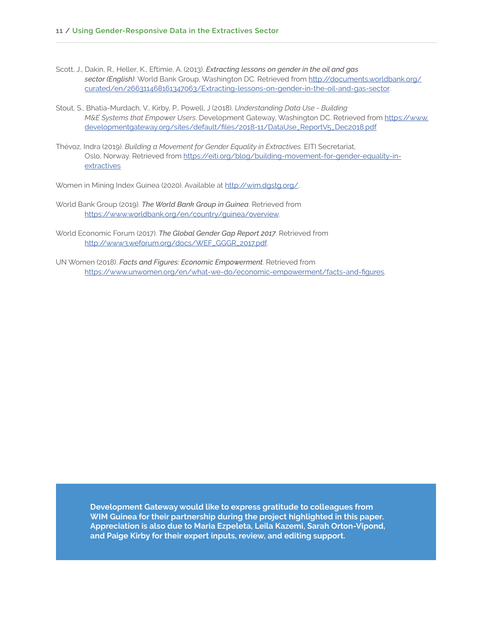- Scott, J., Dakin, R., Heller, K., Eftimie, A. (2013). *Extracting lessons on gender in the oil and gas sector (English)*. World Bank Group, Washington DC. Retrieved from http://documents.worldbank.org/ curated/en/266311468161347063/Extracting-lessons-on-gender-in-the-oil-and-gas-sector.
- Stout, S., Bhatia-Murdach, V., Kirby, P., Powell, J (2018). *Understanding Data Use Building M&E Systems that Empower Users*. Development Gateway, Washington DC. Retrieved from https://www. developmentgateway.org/sites/default/files/2018-11/DataUse\_ReportV5\_Dec2018.pdf
- Thévoz, Indra (2019). *Building a Movement for Gender Equality in Extractives.* EITI Secretariat, Oslo, Norway. Retrieved from https://eiti.org/blog/building-movement-for-gender-equality-inextractives

Women in Mining Index Guinea (2020). Available at http://wim.dgstg.org/.

- World Bank Group (2019). *The World Bank Group in Guinea*. Retrieved from https://www.worldbank.org/en/country/guinea/overview.
- World Economic Forum (2017). *The Global Gender Gap Report 2017*. Retrieved from http://www3.weforum.org/docs/WEF\_GGGR\_2017.pdf.
- UN Women (2018). *Facts and Figures: Economic Empowerment*. Retrieved from https://www.unwomen.org/en/what-we-do/economic-empowerment/facts-and-figures.

**Development Gateway would like to express gratitude to colleagues from WIM Guinea for their partnership during the project highlighted in this paper. Appreciation is also due to Maria Ezpeleta, Leila Kazemi, Sarah Orton-Vipond, and Paige Kirby for their expert inputs, review, and editing support.**